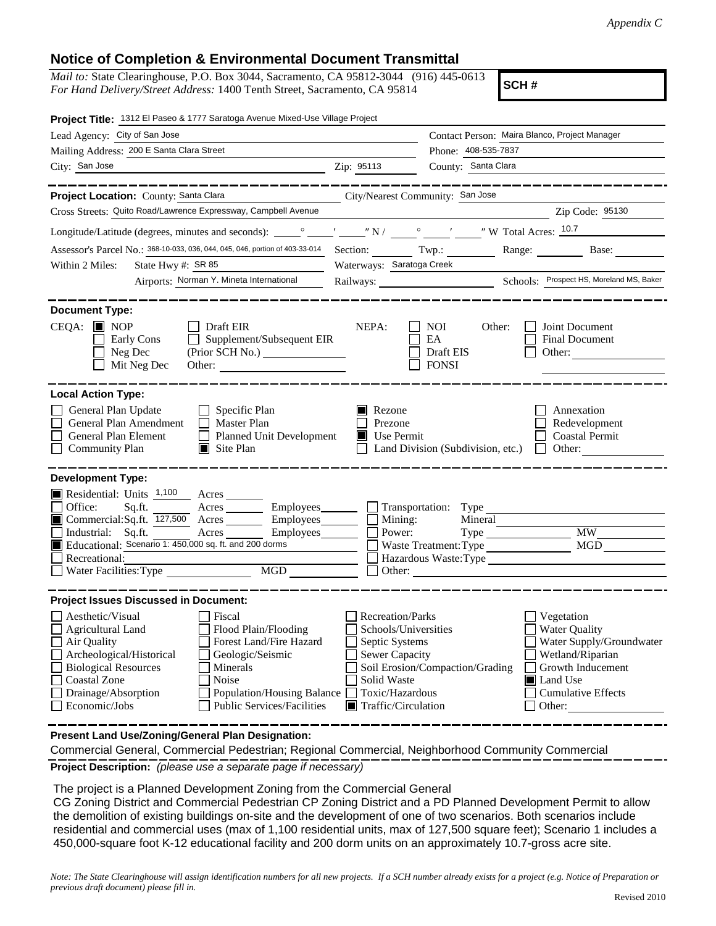## **Notice of Completion & Environmental Document Transmittal**

*Mail to:* State Clearinghouse, P.O. Box 3044, Sacramento, CA 95812-3044 (916) 445-0613 *For Hand Delivery/Street Address:* 1400 Tenth Street, Sacramento, CA 95814

**SCH #**

| Project Title: 1312 El Paseo & 1777 Saratoga Avenue Mixed-Use Village Project                                                                                                                                                                                                                                                                                  |                                                                                                                                     |                                                                    |                                                                                                                                                            |
|----------------------------------------------------------------------------------------------------------------------------------------------------------------------------------------------------------------------------------------------------------------------------------------------------------------------------------------------------------------|-------------------------------------------------------------------------------------------------------------------------------------|--------------------------------------------------------------------|------------------------------------------------------------------------------------------------------------------------------------------------------------|
| Lead Agency: City of San Jose                                                                                                                                                                                                                                                                                                                                  |                                                                                                                                     |                                                                    | Contact Person: Maira Blanco, Project Manager                                                                                                              |
| Mailing Address: 200 E Santa Clara Street                                                                                                                                                                                                                                                                                                                      | Phone: 408-535-7837                                                                                                                 |                                                                    |                                                                                                                                                            |
| City: San Jose                                                                                                                                                                                                                                                                                                                                                 | Zip: 95113                                                                                                                          | County: Santa Clara                                                |                                                                                                                                                            |
|                                                                                                                                                                                                                                                                                                                                                                |                                                                                                                                     |                                                                    |                                                                                                                                                            |
| Project Location: County: Santa Clara                                                                                                                                                                                                                                                                                                                          |                                                                                                                                     | City/Nearest Community: San Jose                                   |                                                                                                                                                            |
| Cross Streets: Quito Road/Lawrence Expressway, Campbell Avenue                                                                                                                                                                                                                                                                                                 |                                                                                                                                     |                                                                    | Zip Code: 95130                                                                                                                                            |
|                                                                                                                                                                                                                                                                                                                                                                |                                                                                                                                     |                                                                    |                                                                                                                                                            |
| Assessor's Parcel No.: 368-10-033, 036, 044, 045, 046, portion of 403-33-014                                                                                                                                                                                                                                                                                   |                                                                                                                                     |                                                                    | Range: $\qquad \qquad$<br>Base: $\qquad \qquad$                                                                                                            |
| State Hwy #: SR 85<br>Within 2 Miles:                                                                                                                                                                                                                                                                                                                          | Waterways: Saratoga Creek                                                                                                           |                                                                    |                                                                                                                                                            |
| Airports: Norman Y. Mineta International                                                                                                                                                                                                                                                                                                                       |                                                                                                                                     |                                                                    |                                                                                                                                                            |
| <b>Document Type:</b><br>$CEQA: \blacksquare$ NOP<br>Draft EIR<br>Supplement/Subsequent EIR<br>Early Cons<br>Neg Dec<br>Mit Neg Dec                                                                                                                                                                                                                            | NEPA:                                                                                                                               | <b>NOI</b><br>Other:<br>EA<br>Draft EIS<br><b>FONSI</b>            | Joint Document<br><b>Final Document</b><br>Other: $\qquad \qquad$                                                                                          |
| <b>Local Action Type:</b>                                                                                                                                                                                                                                                                                                                                      |                                                                                                                                     |                                                                    |                                                                                                                                                            |
| General Plan Update<br>$\Box$ Specific Plan<br>General Plan Amendment<br>$\Box$ Master Plan<br>General Plan Element<br>Planned Unit Development<br><b>Community Plan</b><br>$\Box$ Site Plan                                                                                                                                                                   | Rezone<br>Prezone<br>$\blacksquare$ Use Permit                                                                                      | Land Division (Subdivision, etc.)                                  | Annexation<br>Redevelopment<br><b>Coastal Permit</b><br>Other:                                                                                             |
| <b>Development Type:</b><br>Residential: Units 1,100 Acres<br>Office:<br>Sq.ft.<br>Acres <u>Community Employees</u> Fransportation: Type<br>Commercial:Sq.ft. $\overline{127,500}$ Acres<br>Industrial: Sq.ft.<br>Acres<br>Employees___________  <br>Educational: Scenario 1: 450,000 sq. ft. and 200 dorms<br>Recreational:<br>Water Facilities: Type         | $Employes \_$ $\Box$ Mining:                                                                                                        | Mineral<br>Power:<br>Waste Treatment: Type<br>Hazardous Waste:Type | <b>MW</b><br><b>MGD</b>                                                                                                                                    |
| <b>Project Issues Discussed in Document:</b>                                                                                                                                                                                                                                                                                                                   |                                                                                                                                     |                                                                    |                                                                                                                                                            |
| Aesthetic/Visual<br>Fiscal<br>Flood Plain/Flooding<br><b>Agricultural Land</b><br>Forest Land/Fire Hazard<br>Air Quality<br>Archeological/Historical<br>Geologic/Seismic<br><b>Biological Resources</b><br>Minerals<br><b>Coastal Zone</b><br>Noise<br>Drainage/Absorption<br>Population/Housing Balance<br><b>Public Services/Facilities</b><br>Economic/Jobs | Recreation/Parks<br>Septic Systems<br><b>Sewer Capacity</b><br>Solid Waste<br>Toxic/Hazardous<br>$\blacksquare$ Traffic/Circulation | Schools/Universities<br>Soil Erosion/Compaction/Grading            | Vegetation<br><b>Water Quality</b><br>Water Supply/Groundwater<br>Wetland/Riparian<br>Growth Inducement<br>Land Use<br><b>Cumulative Effects</b><br>Other: |

**Present Land Use/Zoning/General Plan Designation:**

**Project Description:** *(please use a separate page if necessary)* Commercial General, Commercial Pedestrian; Regional Commercial, Neighborhood Community Commercial

The project is a Planned Development Zoning from the Commercial General

CG Zoning District and Commercial Pedestrian CP Zoning District and a PD Planned Development Permit to allow the demolition of existing buildings on-site and the development of one of two scenarios. Both scenarios include residential and commercial uses (max of 1,100 residential units, max of 127,500 square feet); Scenario 1 includes a 450,000-square foot K-12 educational facility and 200 dorm units on an approximately 10.7-gross acre site.

*Note: The State Clearinghouse will assign identification numbers for all new projects. If a SCH number already exists for a project (e.g. Notice of Preparation or previous draft document) please fill in.*